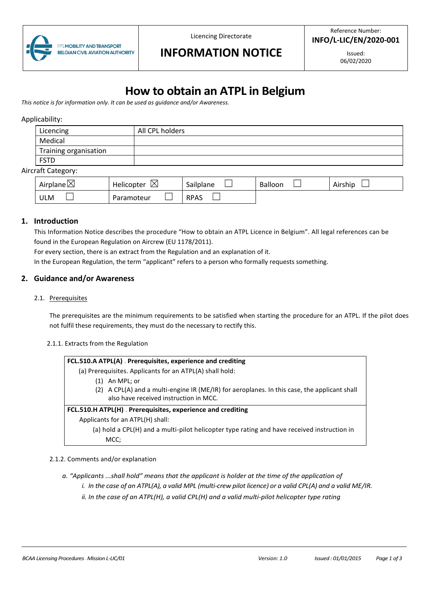

Licencing Directorate

# **INFORMATION NOTICE**

Issued: 06/02/2020

# **How to obtain an ATPL in Belgium**

*This notice is for information only. It can be used as guidance and/or Awareness.*

#### Applicability:

| Licencing             | All CPL holders |
|-----------------------|-----------------|
| Medical               |                 |
| Training organisation |                 |
| <b>FSTD</b>           |                 |

#### Aircraft Category:

| ↖<br>Airplane $\boxtimes$ | ⊠<br><b>Helicopter</b> | Sailplane   | Balloon | . .<br>Airship |
|---------------------------|------------------------|-------------|---------|----------------|
| ULM                       | Paramoteur             | <b>RPAS</b> |         |                |

#### **1. Introduction**

This Information Notice describes the procedure "How to obtain an ATPL Licence in Belgium". All legal references can be found in the European Regulation on Aircrew (EU 1178/2011).

For every section, there is an extract from the Regulation and an explanation of it.

In the European Regulation, the term "applicant" refers to a person who formally requests something.

#### **2. Guidance and/or Awareness**

2.1. Prerequisites

The prerequisites are the minimum requirements to be satisfied when starting the procedure for an ATPL. If the pilot does not fulfil these requirements, they must do the necessary to rectify this.

#### 2.1.1. Extracts from the Regulation

| FCL.510.A ATPL(A) - Prerequisites, experience and crediting |  |
|-------------------------------------------------------------|--|
|-------------------------------------------------------------|--|

(a) Prerequisites. Applicants for an ATPL(A) shall hold:

- (1) An MPL; or
- (2) A CPL(A) and a multi-engine IR (ME/IR) for aeroplanes. In this case, the applicant shall also have received instruction in MCC.

#### **FCL.510.H ATPL(H) — Prerequisites, experience and crediting**

Applicants for an ATPL(H) shall:

(a) hold a CPL(H) and a multi-pilot helicopter type rating and have received instruction in MCC;

#### 2.1.2. Comments and/or explanation

*a. "Applicants ...shall hold" means that the applicant is holder at the time of the application of*

- *i. In the case of an ATPL(A), a valid MPL (multi-crew pilot licence) or a valid CPL(A) and a valid ME/IR.*
- *ii. In the case of an ATPL(H), a valid CPL(H) and a valid multi-pilot helicopter type rating*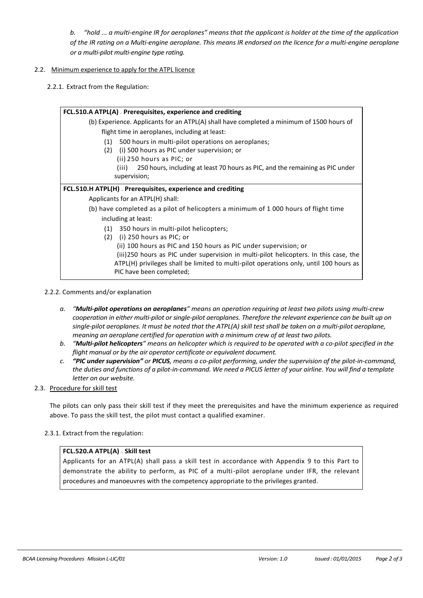*b. "hold ... a multi-engine IR for aeroplanes" means that the applicant is holder at the time of the application of the IR rating on a Multi-engine aeroplane. This means IR endorsed on the licence for a multi-engine aeroplane or a multi-pilot multi-engine type rating.*

#### 2.2. Minimum experience to apply for the ATPL licence

2.2.1. Extract from the Regulation:

| FCL.510.A ATPL(A) - Prerequisites, experience and crediting                               |  |  |
|-------------------------------------------------------------------------------------------|--|--|
| (b) Experience. Applicants for an ATPL(A) shall have completed a minimum of 1500 hours of |  |  |
| flight time in aeroplanes, including at least:                                            |  |  |
| 500 hours in multi-pilot operations on aeroplanes;<br>(1)                                 |  |  |
| (i) 500 hours as PIC under supervision; or<br>(2)                                         |  |  |
| (ii) 250 hours as PIC; or                                                                 |  |  |
| 250 hours, including at least 70 hours as PIC, and the remaining as PIC under<br>(iii)    |  |  |
| supervision;                                                                              |  |  |
| FCL.510.H ATPL(H) - Prerequisites, experience and crediting                               |  |  |
| Applicants for an ATPL(H) shall:                                                          |  |  |
| (b) have completed as a pilot of helicopters a minimum of 1 000 hours of flight time      |  |  |
| including at least:                                                                       |  |  |
| 350 hours in multi-pilot helicopters;<br>(1)                                              |  |  |
| $(2)$ (i) 250 hours as PIC; or                                                            |  |  |
| (ii) 100 hours as PIC and 150 hours as PIC under supervision; or                          |  |  |
| (iii)250 hours as PIC under supervision in multi-pilot helicopters. In this case, the     |  |  |
| ATPL(H) privileges shall be limited to multi-pilot operations only, until 100 hours as    |  |  |
| PIC have been completed;                                                                  |  |  |

#### 2.2.2. Comments and/or explanation

- *a. "Multi-pilot operations on aeroplanes" means an operation requiring at least two pilots using multi-crew cooperation in either multi-pilot or single-pilot aeroplanes. Therefore the relevant experience can be built up on single-pilot aeroplanes. It must be noted that the ATPL(A) skill test shall be taken on a multi-pilot aeroplane, meaning an aeroplane certified for operation with a minimum crew of at least two pilots.*
- *b. "Multi-pilot helicopters" means an helicopter which is required to be operated with a co-pilot specified in the flight manual or by the air operator certificate or equivalent document.*
- *c. "PIC under supervision" or PICUS, means a co-pilot performing, under the supervision of the pilot-in-command, the duties and functions of a pilot-in-command. We need a PICUS letter of your airline. You will find a template letter on our website.*

#### 2.3. Procedure for skill test

The pilots can only pass their skill test if they meet the prerequisites and have the minimum experience as required above. To pass the skill test, the pilot must contact a qualified examiner.

# 2.3.1. Extract from the regulation:

# **FCL.520.A ATPL(A) — Skill test**

Applicants for an ATPL(A) shall pass a skill test in accordance with Appendix 9 to this Part to demonstrate the ability to perform, as PIC of a multi-pilot aeroplane under IFR, the relevant procedures and manoeuvres with the competency appropriate to the privileges granted.